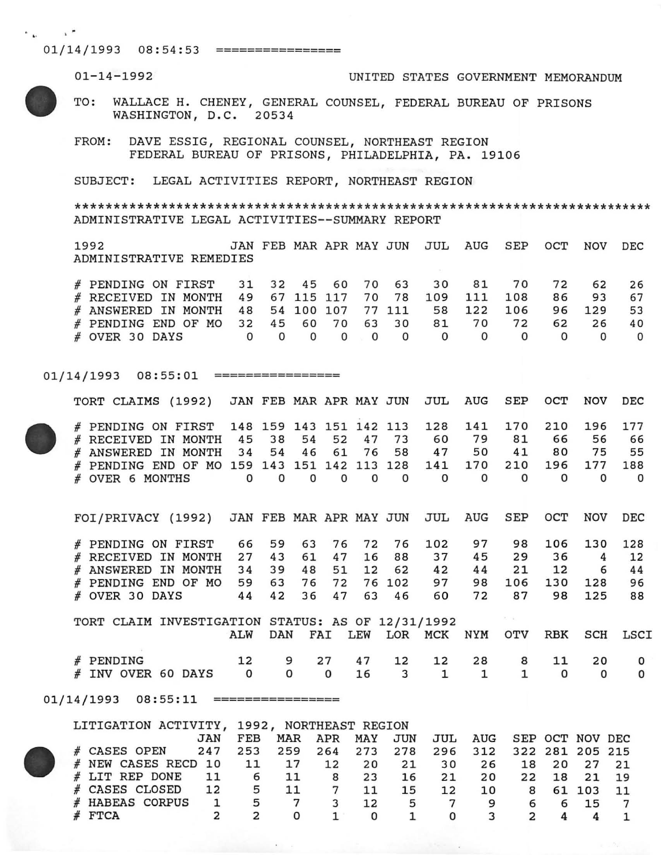$01/14/1993$   $08:54:53$  ==================

01-14-1992 UNITED STATES GOVERNMENT MEMORANDUM TO: WALLACE H. CHENEY, GENERAL COUNSEL, FEDERAL BUREAU OF PRISONS WASHINGTON, D.C. 20534 FROM: DAVE ESSIG, REGIONAL COUNSEL, NORTHEAST REGION FEDERAL BUREAU OF PRISONS, PHILADELPHIA, PA. 19106 SUBJECT: LEGAL ACTIVITIES REPORT, NORTHEAST REGION **\*\*\*\*\*\*\*\*\*\*\*\*\*\*\*\*\*\*\*\*\*\*\*\*\*\*\*\*\*\*\*\*\*\*\*\*\*\*\*\*\*\*\*\*\*\*\*\*\*\*\*\*\*\*\*\*\*\*\*\*\*\*\*\*\*\*\*\*\*\*\*\*\*\***  ADMINISTRATIVE LEGAL ACTIVITIES--SUMMARY REPORT 1992 JAN FEB MAR APR MAY JUN JUL AUG SEP OCT NOV DEC ADMINISTRATIVE REMEDIES # PENDING ON FIRST 31 32 45 60 70 63 30 81 70 72 62 26

| # RECEIVED IN MONTH 49 67 115 117 70 78 109 111 108 86 93 67  |  |  |  |  |  |  |  |
|---------------------------------------------------------------|--|--|--|--|--|--|--|
| # ANSWERED IN MONTH 48 54 100 107 77 111 58 122 106 96 129 53 |  |  |  |  |  |  |  |
| # PENDING END OF MO 32 45 60 70 63 30 81 70 72 62 26 40       |  |  |  |  |  |  |  |
| #0VER30DAYS 000000000000000                                   |  |  |  |  |  |  |  |

 $01/14/1993$   $08:55:01$  ==================

TORT CLAIMS (1992) JAN FEB MAR APR MAY JUN JUL AUG SEP OCT NOV DEC

| # PENDING ON FIRST 148 159 143 151 142 113 128 141 170 210 196 177  |  |  |  |              |    |    |       |    |    |
|---------------------------------------------------------------------|--|--|--|--------------|----|----|-------|----|----|
| # RECEIVED IN MONTH 45 38 54 52 47 73                               |  |  |  | 60           | 79 | 81 | 66    | 56 |    |
| # ANSWERED IN MONTH 34 54 46 61 76 58 47                            |  |  |  |              | 50 |    | 41 80 | 75 | 55 |
| # PENDING END OF MO 159 143 151 142 113 128 141 170 210 196 177 188 |  |  |  |              |    |    |       |    |    |
| # OVER 6 MONTHS 0 0 0 0 0 0 0 $\pm$                                 |  |  |  | $\mathbf{U}$ |    |    |       |    |    |

|                | FOI/PRIVACY (1992) JAN FEB MAR APR MAY JUN JUL AUG SEP OCT NOV DEC |  |  |                   |      |                   |    |    |     |    |
|----------------|--------------------------------------------------------------------|--|--|-------------------|------|-------------------|----|----|-----|----|
|                | # PENDING ON FIRST 66 59 63 76 72 76 102 97 98 106 130 128         |  |  |                   |      |                   |    |    |     |    |
|                | # RECEIVED IN MONTH 27 43 61 47 16 88 37                           |  |  |                   |      | 45                | 29 | 36 |     |    |
|                | # ANSWERED IN MONTH 34 39 48 51 12 62                              |  |  |                   | 42   | 44                | 21 | 12 | 6   | 44 |
|                | # PENDING END OF MO 59 63 76 72 76 102                             |  |  |                   |      | 97 98 106 130 128 |    |    |     | 96 |
| # OVER 30 DAYS |                                                                    |  |  | 44 42 36 47 63 46 | 60 — | 72                | 87 | 98 | 125 | 88 |

|  | TORT CLAIM INVESTIGATION STATUS: AS OF 12/31/1992 |  |  |  |                                              |  |  |  |
|--|---------------------------------------------------|--|--|--|----------------------------------------------|--|--|--|
|  |                                                   |  |  |  | ALW DAN FAI LEW LOR MCK NYM OTV RBK SCH LSCI |  |  |  |
|  |                                                   |  |  |  |                                              |  |  |  |
|  | # PENDING                                         |  |  |  | 12 9 27 47 12 12 28 8 11 20                  |  |  |  |
|  | # INV OVER 60 DAYS 0 0 0 16 3 1 1 1               |  |  |  |                                              |  |  |  |

01/14/1993 08:55:11 ================

|  |                   |           |     | LITIGATION ACTIVITY, 1992, NORTHEAST REGION |             |              |     |                         |                         |       |             |        |    |  |
|--|-------------------|-----------|-----|---------------------------------------------|-------------|--------------|-----|-------------------------|-------------------------|-------|-------------|--------|----|--|
|  |                   | JAN       | FEB | MAR                                         | APR MAY JUN |              |     |                         | JUL AUG SEP OCT NOV DEC |       |             |        |    |  |
|  | CASES OPEN        | 247       | 253 | 259                                         |             | 264 273 278  |     | 296 312 322 281 205 215 |                         |       |             |        |    |  |
|  | NEW CASES RECD 10 |           | 11  | 17 12                                       |             | 20           | 2.1 | 30                      | 26                      |       | 18 20 27 21 |        |    |  |
|  | # LIT REP DONE    | <b>11</b> | 6   | 11                                          | 8           | 23           | 16  | 21                      | 20                      |       | 22 18 21 19 |        |    |  |
|  | CASES CLOSED 12   |           | 5   | 11                                          |             |              | 15  | 12                      | 10                      | $8 -$ |             | 61 103 | 11 |  |
|  | HABEAS CORPUS     |           | 5   |                                             |             | 12           | 5   |                         | 9                       | 6     |             | 15     |    |  |
|  | FTCA              |           |     |                                             |             | <sup>0</sup> |     |                         |                         |       |             |        |    |  |

 $\sim$   $\sim$ 

<u> Alban Alban a San Alban a</u>



 $\sim$   $\mu$   $\sim$   $\sim$   $\sim$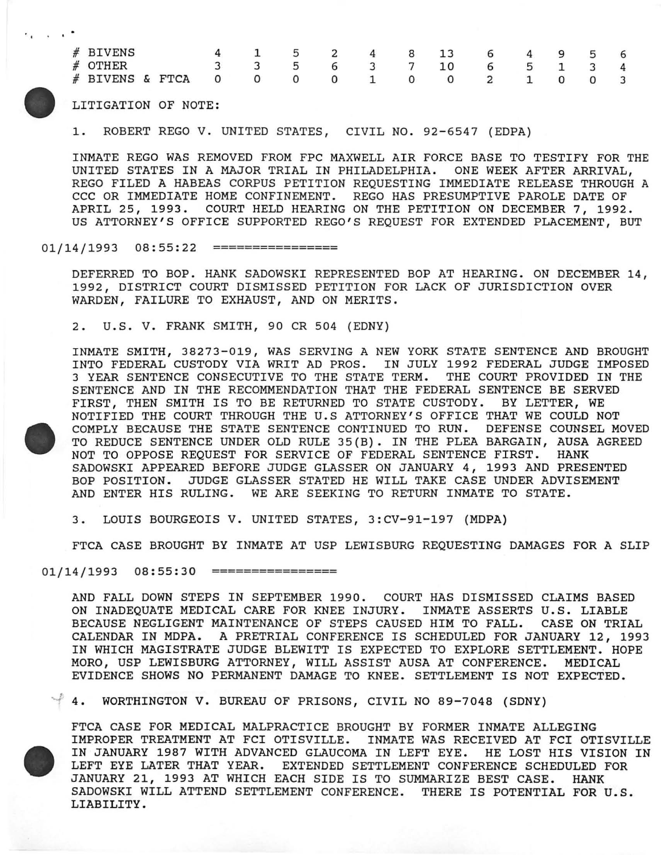| # BIVENS                                |  |  |  |  | 4 1 5 2 4 8 13 6 4 9 5 6 |  |  |  |
|-----------------------------------------|--|--|--|--|--------------------------|--|--|--|
| $#$ OTHER                               |  |  |  |  | 3 3 5 6 3 7 10 6 5 1 3 4 |  |  |  |
| # BIVENS & FTCA 0 0 0 0 1 0 0 2 1 0 0 3 |  |  |  |  |                          |  |  |  |
|                                         |  |  |  |  |                          |  |  |  |

LITIGATION OF NOTE:

1. ROBERT REGO V. UNITED STATES, CIVIL NO. 92-6547 (EDPA)

INMATE REGO WAS REMOVED FROM FPC MAXWELL AIR FORCE BASE TO TESTIFY FOR THE UNITED STATES IN A MAJOR TRIAL IN PHILADELPHIA. ONE WEEK AFTER ARRIVAL, REGO FILED A HABEAS CORPUS PETITION REQUESTING IMMEDIATE RELEASE THROUGH A CCC OR IMMEDIATE HOME CONFINEMENT. REGO HAS PRESUMPTIVE PAROLE DATE OF APRIL 25, 1993. COURT HELD HEARING ON THE PETITION ON DECEMBER 7, 1992. US ATTORNEY'S OFFICE SUPPORTED REGO'S REQUEST FOR EXTENDED PLACEMENT, BUT

## $01/14/1993$   $08:55:22$  ==================

DEFERRED TO BOP. HANK SADOWSKI REPRESENTED BOP AT HEARING. ON DECEMBER 14, 1992, DISTRICT COURT DISMISSED PETITION FOR LACK OF JURISDICTION OVER WARDEN, FAILURE TO EXHAUST, AND ON MERITS.

2. U.S. V. FRANK SMITH, 90 CR 504 (EDNY)



INMATE SMITH, 38273-019, WAS SERVING A NEW YORK STATE SENTENCE AND BROUGHT INTO FEDERAL CUSTODY VIA WRIT AD PROS. IN JULY 1992 FEDERAL JUDGE IMPOSED 3 YEAR SENTENCE CONSECUTIVE TO THE STATE TERM. THE COURT PROVIDED IN THE SENTENCE AND IN THE RECOMMENDATION THAT THE FEDERAL SENTENCE BE SERVED FIRST, THEN SMITH IS TO BE RETURNED TO STATE CUSTODY. BY LETTER, WE NOTIFIED THE COURT THROUGH THE U.S ATTORNEY'S OFFICE THAT WE COULD NOT COMPLY BECAUSE THE STATE SENTENCE CONTINUED TO RUN. DEFENSE COUNSEL MOVED TO REDUCE SENTENCE UNDER OLD RULE 35(B). IN THE PLEA BARGAIN, AUSA AGREED NOT TO OPPOSE REQUEST FOR SERVICE OF FEDERAL SENTENCE FIRST. HANK SADOWSKI APPEARED BEFORE JUDGE GLASSER ON JANUARY 4, 1993 AND PRESENTED BOP POSITION. JUDGE GLASSER STATED HE WILL TAKE CASE UNDER ADVISEMENT AND ENTER HIS RULING. WE ARE SEEKING TO RETURN INMATE TO STATE.

3. LOUIS BOURGEOIS V. UNITED STATES, 3:CV-91-197 (MDPA)

FTCA CASE BROUGHT BY INMATE AT USP LEWISBURG REQUESTING DAMAGES FOR A SLIP

01/14/1993 08:55:30 ================

AND FALL DOWN STEPS IN SEPTEMBER 1990. COURT HAS DISMISSED CLAIMS BASED ON INADEQUATE MEDICAL CARE FOR KNEE INJURY. INMATE ASSERTS U.S. LIABLE BECAUSE NEGLIGENT MAINTENANCE OF STEPS CAUSED HIM TO FALL. CASE ON TRIAL CALENDAR IN MDPA. A PRETRIAL CONFERENCE IS SCHEDULED FOR JANUARY 12, 1993 IN WHICH MAGISTRATE JUDGE BLEWITT IS EXPECTED TO EXPLORE SETTLEMENT. HOPE MORO, USP LEWISBURG ATTORNEY, WILL ASSIST AUSA AT CONFERENCE. MEDICAL EVIDENCE SHOWS NO PERMANENT DAMAGE TO KNEE. SETTLEMENT IS NOT EXPECTED.

~ 4. WORTHINGTON V. BUREAU OF PRISONS, CIVIL NO 89-7048 (SDNY)

FTCA CASE FOR MEDICAL MALPRACTICE BROUGHT BY FORMER INMATE ALLEGING IMPROPER TREATMENT AT FCI OTISVILLE. INMATE WAS RECEIVED AT FCI OTISVILLE IN JANUARY 1987 WITH ADVANCED GLAUCOMA IN LEFT EYE. HE LOST HIS VISION IN LEFT EYE LATER THAT YEAR. EXTENDED SETTLEMENT CONFERENCE SCHEDULED FOR JANUARY 21, 1993 AT WHICH EACH SIDE IS TO SUMMARIZE BEST CASE. HANK SADOWSKI WILL ATTEND SETTLEMENT CONFERENCE. THERE IS POTENTIAL FOR U.S. LIABILITY.